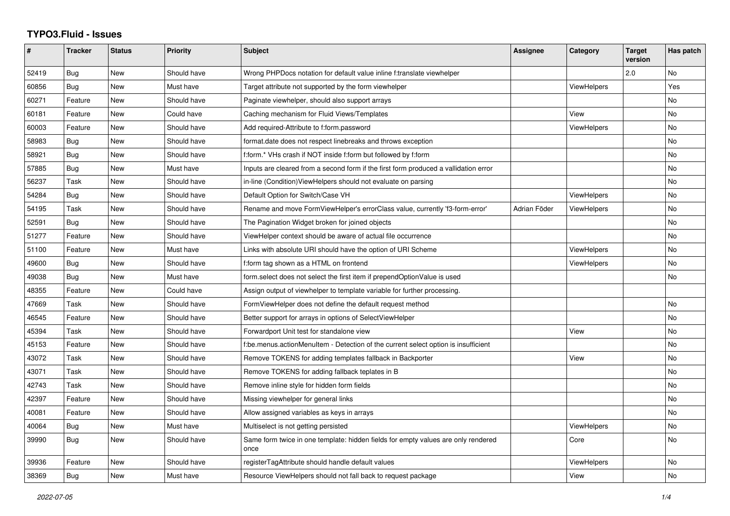## **TYPO3.Fluid - Issues**

| #     | <b>Tracker</b> | <b>Status</b> | <b>Priority</b> | <b>Subject</b>                                                                            | Assignee     | Category           | <b>Target</b><br>version | Has patch |
|-------|----------------|---------------|-----------------|-------------------------------------------------------------------------------------------|--------------|--------------------|--------------------------|-----------|
| 52419 | <b>Bug</b>     | <b>New</b>    | Should have     | Wrong PHPDocs notation for default value inline f:translate viewhelper                    |              |                    | 2.0                      | No        |
| 60856 | Bug            | New           | Must have       | Target attribute not supported by the form viewhelper                                     |              | ViewHelpers        |                          | Yes       |
| 60271 | Feature        | New           | Should have     | Paginate viewhelper, should also support arrays                                           |              |                    |                          | No        |
| 60181 | Feature        | New           | Could have      | Caching mechanism for Fluid Views/Templates                                               |              | View               |                          | No        |
| 60003 | Feature        | New           | Should have     | Add required-Attribute to f:form.password                                                 |              | ViewHelpers        |                          | <b>No</b> |
| 58983 | Bug            | New           | Should have     | format.date does not respect linebreaks and throws exception                              |              |                    |                          | No        |
| 58921 | <b>Bug</b>     | <b>New</b>    | Should have     | f:form.* VHs crash if NOT inside f:form but followed by f:form                            |              |                    |                          | No        |
| 57885 | Bug            | New           | Must have       | Inputs are cleared from a second form if the first form produced a vallidation error      |              |                    |                          | No        |
| 56237 | Task           | New           | Should have     | in-line (Condition) View Helpers should not evaluate on parsing                           |              |                    |                          | No        |
| 54284 | Bug            | New           | Should have     | Default Option for Switch/Case VH                                                         |              | ViewHelpers        |                          | No        |
| 54195 | Task           | New           | Should have     | Rename and move FormViewHelper's errorClass value, currently 'f3-form-error'              | Adrian Föder | ViewHelpers        |                          | <b>No</b> |
| 52591 | Bug            | New           | Should have     | The Pagination Widget broken for joined objects                                           |              |                    |                          | No        |
| 51277 | Feature        | <b>New</b>    | Should have     | ViewHelper context should be aware of actual file occurrence                              |              |                    |                          | No        |
| 51100 | Feature        | <b>New</b>    | Must have       | Links with absolute URI should have the option of URI Scheme                              |              | <b>ViewHelpers</b> |                          | No        |
| 49600 | <b>Bug</b>     | New           | Should have     | f:form tag shown as a HTML on frontend                                                    |              | ViewHelpers        |                          | No        |
| 49038 | Bug            | New           | Must have       | form.select does not select the first item if prependOptionValue is used                  |              |                    |                          | No        |
| 48355 | Feature        | New           | Could have      | Assign output of viewhelper to template variable for further processing.                  |              |                    |                          |           |
| 47669 | Task           | New           | Should have     | FormViewHelper does not define the default request method                                 |              |                    |                          | <b>No</b> |
| 46545 | Feature        | New           | Should have     | Better support for arrays in options of SelectViewHelper                                  |              |                    |                          | No        |
| 45394 | Task           | New           | Should have     | Forwardport Unit test for standalone view                                                 |              | View               |                          | No        |
| 45153 | Feature        | New           | Should have     | f:be.menus.actionMenuItem - Detection of the current select option is insufficient        |              |                    |                          | No        |
| 43072 | Task           | New           | Should have     | Remove TOKENS for adding templates fallback in Backporter                                 |              | View               |                          | <b>No</b> |
| 43071 | Task           | New           | Should have     | Remove TOKENS for adding fallback teplates in B                                           |              |                    |                          | <b>No</b> |
| 42743 | Task           | <b>New</b>    | Should have     | Remove inline style for hidden form fields                                                |              |                    |                          | <b>No</b> |
| 42397 | Feature        | New           | Should have     | Missing viewhelper for general links                                                      |              |                    |                          | No        |
| 40081 | Feature        | New           | Should have     | Allow assigned variables as keys in arrays                                                |              |                    |                          | <b>No</b> |
| 40064 | Bug            | New           | Must have       | Multiselect is not getting persisted                                                      |              | ViewHelpers        |                          | <b>No</b> |
| 39990 | Bug            | New           | Should have     | Same form twice in one template: hidden fields for empty values are only rendered<br>once |              | Core               |                          | No        |
| 39936 | Feature        | New           | Should have     | registerTagAttribute should handle default values                                         |              | ViewHelpers        |                          | No        |
| 38369 | Bug            | New           | Must have       | Resource ViewHelpers should not fall back to request package                              |              | View               |                          | No        |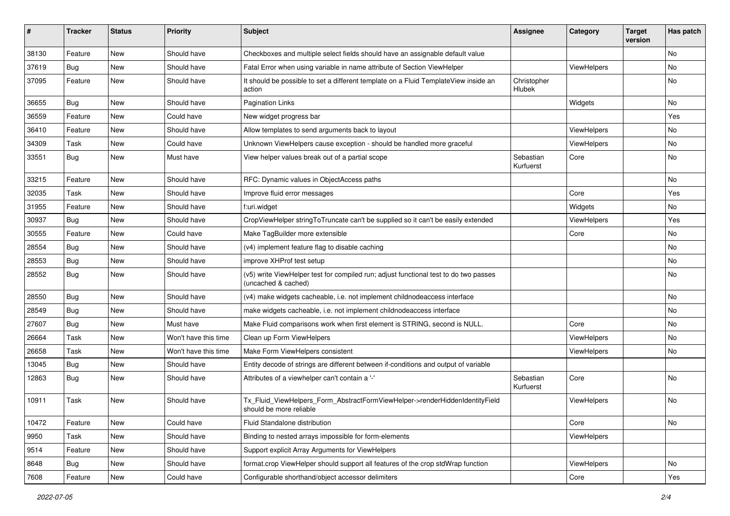| #     | <b>Tracker</b> | <b>Status</b> | <b>Priority</b>      | <b>Subject</b>                                                                                              | <b>Assignee</b>        | Category    | <b>Target</b><br>version | Has patch |
|-------|----------------|---------------|----------------------|-------------------------------------------------------------------------------------------------------------|------------------------|-------------|--------------------------|-----------|
| 38130 | Feature        | New           | Should have          | Checkboxes and multiple select fields should have an assignable default value                               |                        |             |                          | No        |
| 37619 | <b>Bug</b>     | New           | Should have          | Fatal Error when using variable in name attribute of Section ViewHelper                                     |                        | ViewHelpers |                          | No        |
| 37095 | Feature        | New           | Should have          | It should be possible to set a different template on a Fluid TemplateView inside an<br>action               | Christopher<br>Hlubek  |             |                          | No        |
| 36655 | Bug            | New           | Should have          | <b>Pagination Links</b>                                                                                     |                        | Widgets     |                          | No        |
| 36559 | Feature        | New           | Could have           | New widget progress bar                                                                                     |                        |             |                          | Yes       |
| 36410 | Feature        | New           | Should have          | Allow templates to send arguments back to layout                                                            |                        | ViewHelpers |                          | No        |
| 34309 | Task           | New           | Could have           | Unknown ViewHelpers cause exception - should be handled more graceful                                       |                        | ViewHelpers |                          | No.       |
| 33551 | Bug            | New           | Must have            | View helper values break out of a partial scope                                                             | Sebastian<br>Kurfuerst | Core        |                          | No        |
| 33215 | Feature        | New           | Should have          | RFC: Dynamic values in ObjectAccess paths                                                                   |                        |             |                          | No        |
| 32035 | Task           | New           | Should have          | Improve fluid error messages                                                                                |                        | Core        |                          | Yes       |
| 31955 | Feature        | New           | Should have          | f:uri.widget                                                                                                |                        | Widgets     |                          | No        |
| 30937 | Bug            | <b>New</b>    | Should have          | CropViewHelper stringToTruncate can't be supplied so it can't be easily extended                            |                        | ViewHelpers |                          | Yes       |
| 30555 | Feature        | New           | Could have           | Make TagBuilder more extensible                                                                             |                        | Core        |                          | No        |
| 28554 | Bug            | New           | Should have          | (v4) implement feature flag to disable caching                                                              |                        |             |                          | No        |
| 28553 | Bug            | New           | Should have          | improve XHProf test setup                                                                                   |                        |             |                          | No        |
| 28552 | Bug            | New           | Should have          | (v5) write ViewHelper test for compiled run; adjust functional test to do two passes<br>(uncached & cached) |                        |             |                          | No        |
| 28550 | Bug            | New           | Should have          | (v4) make widgets cacheable, i.e. not implement childnodeaccess interface                                   |                        |             |                          | No        |
| 28549 | Bug            | New           | Should have          | make widgets cacheable, i.e. not implement childnodeaccess interface                                        |                        |             |                          | No        |
| 27607 | Bug            | New           | Must have            | Make Fluid comparisons work when first element is STRING, second is NULL.                                   |                        | Core        |                          | No        |
| 26664 | Task           | New           | Won't have this time | Clean up Form ViewHelpers                                                                                   |                        | ViewHelpers |                          | No        |
| 26658 | Task           | New           | Won't have this time | Make Form ViewHelpers consistent                                                                            |                        | ViewHelpers |                          | No        |
| 13045 | Bug            | New           | Should have          | Entity decode of strings are different between if-conditions and output of variable                         |                        |             |                          |           |
| 12863 | Bug            | New           | Should have          | Attributes of a viewhelper can't contain a '-'                                                              | Sebastian<br>Kurfuerst | Core        |                          | No        |
| 10911 | Task           | New           | Should have          | Tx_Fluid_ViewHelpers_Form_AbstractFormViewHelper->renderHiddenIdentityField<br>should be more reliable      |                        | ViewHelpers |                          | No        |
| 10472 | Feature        | New           | Could have           | Fluid Standalone distribution                                                                               |                        | Core        |                          | No        |
| 9950  | Task           | New           | Should have          | Binding to nested arrays impossible for form-elements                                                       |                        | ViewHelpers |                          |           |
| 9514  | Feature        | New           | Should have          | Support explicit Array Arguments for ViewHelpers                                                            |                        |             |                          |           |
| 8648  | Bug            | New           | Should have          | format.crop ViewHelper should support all features of the crop stdWrap function                             |                        | ViewHelpers |                          | No        |
| 7608  | Feature        | New           | Could have           | Configurable shorthand/object accessor delimiters                                                           |                        | Core        |                          | Yes       |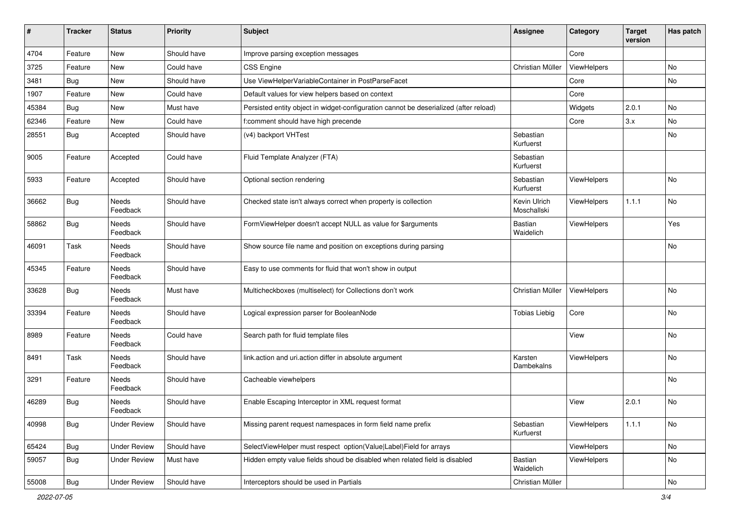| ∦     | <b>Tracker</b> | <b>Status</b>            | <b>Priority</b> | <b>Subject</b>                                                                        | <b>Assignee</b>             | Category    | <b>Target</b><br>version | Has patch |
|-------|----------------|--------------------------|-----------------|---------------------------------------------------------------------------------------|-----------------------------|-------------|--------------------------|-----------|
| 4704  | Feature        | New                      | Should have     | Improve parsing exception messages                                                    |                             | Core        |                          |           |
| 3725  | Feature        | New                      | Could have      | CSS Engine                                                                            | Christian Müller            | ViewHelpers |                          | No        |
| 3481  | Bug            | New                      | Should have     | Use ViewHelperVariableContainer in PostParseFacet                                     |                             | Core        |                          | No        |
| 1907  | Feature        | New                      | Could have      | Default values for view helpers based on context                                      |                             | Core        |                          |           |
| 45384 | <b>Bug</b>     | New                      | Must have       | Persisted entity object in widget-configuration cannot be deserialized (after reload) |                             | Widgets     | 2.0.1                    | No        |
| 62346 | Feature        | New                      | Could have      | f:comment should have high precende                                                   |                             | Core        | 3.x                      | <b>No</b> |
| 28551 | Bug            | Accepted                 | Should have     | (v4) backport VHTest                                                                  | Sebastian<br>Kurfuerst      |             |                          | No        |
| 9005  | Feature        | Accepted                 | Could have      | Fluid Template Analyzer (FTA)                                                         | Sebastian<br>Kurfuerst      |             |                          |           |
| 5933  | Feature        | Accepted                 | Should have     | Optional section rendering                                                            | Sebastian<br>Kurfuerst      | ViewHelpers |                          | No        |
| 36662 | Bug            | Needs<br>Feedback        | Should have     | Checked state isn't always correct when property is collection                        | Kevin Ulrich<br>Moschallski | ViewHelpers | 1.1.1                    | No        |
| 58862 | <b>Bug</b>     | Needs<br>Feedback        | Should have     | FormViewHelper doesn't accept NULL as value for \$arguments                           | <b>Bastian</b><br>Waidelich | ViewHelpers |                          | Yes       |
| 46091 | Task           | <b>Needs</b><br>Feedback | Should have     | Show source file name and position on exceptions during parsing                       |                             |             |                          | No        |
| 45345 | Feature        | Needs<br>Feedback        | Should have     | Easy to use comments for fluid that won't show in output                              |                             |             |                          |           |
| 33628 | <b>Bug</b>     | Needs<br>Feedback        | Must have       | Multicheckboxes (multiselect) for Collections don't work                              | Christian Müller            | ViewHelpers |                          | No        |
| 33394 | Feature        | Needs<br>Feedback        | Should have     | Logical expression parser for BooleanNode                                             | <b>Tobias Liebig</b>        | Core        |                          | No        |
| 8989  | Feature        | Needs<br>Feedback        | Could have      | Search path for fluid template files                                                  |                             | View        |                          | No        |
| 8491  | Task           | Needs<br>Feedback        | Should have     | link.action and uri.action differ in absolute argument                                | Karsten<br>Dambekalns       | ViewHelpers |                          | No        |
| 3291  | Feature        | Needs<br>Feedback        | Should have     | Cacheable viewhelpers                                                                 |                             |             |                          | No        |
| 46289 | <b>Bug</b>     | Needs<br>Feedback        | Should have     | Enable Escaping Interceptor in XML request format                                     |                             | View        | 2.0.1                    | No        |
| 40998 | <b>Bug</b>     | <b>Under Review</b>      | Should have     | Missing parent request namespaces in form field name prefix                           | Sebastian<br>Kurfuerst      | ViewHelpers | 1.1.1                    | No        |
| 65424 | Bug            | <b>Under Review</b>      | Should have     | SelectViewHelper must respect option(Value Label)Field for arrays                     |                             | ViewHelpers |                          | No        |
| 59057 | <b>Bug</b>     | <b>Under Review</b>      | Must have       | Hidden empty value fields shoud be disabled when related field is disabled            | Bastian<br>Waidelich        | ViewHelpers |                          | No        |
| 55008 | Bug            | <b>Under Review</b>      | Should have     | Interceptors should be used in Partials                                               | Christian Müller            |             |                          | No        |